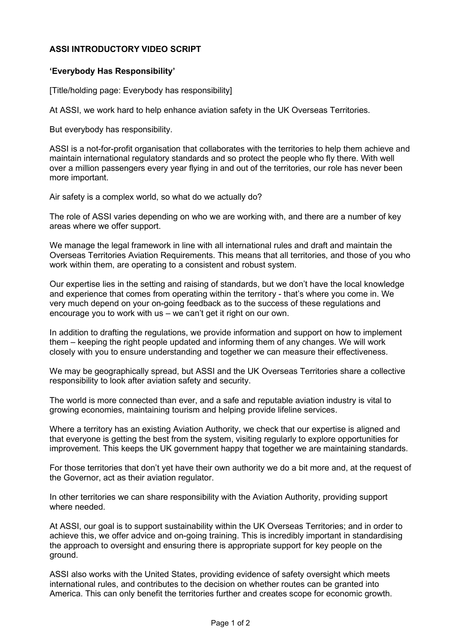## **ASSI INTRODUCTORY VIDEO SCRIPT**

## **'Everybody Has Responsibility'**

[Title/holding page: Everybody has responsibility]

At ASSI, we work hard to help enhance aviation safety in the UK Overseas Territories.

But everybody has responsibility.

ASSI is a not-for-profit organisation that collaborates with the territories to help them achieve and maintain international regulatory standards and so protect the people who fly there. With well over a million passengers every year flying in and out of the territories, our role has never been more important.

Air safety is a complex world, so what do we actually do?

The role of ASSI varies depending on who we are working with, and there are a number of key areas where we offer support.

We manage the legal framework in line with all international rules and draft and maintain the Overseas Territories Aviation Requirements. This means that all territories, and those of you who work within them, are operating to a consistent and robust system.

Our expertise lies in the setting and raising of standards, but we don't have the local knowledge and experience that comes from operating within the territory - that's where you come in. We very much depend on your on-going feedback as to the success of these regulations and encourage you to work with us – we can't get it right on our own.

In addition to drafting the regulations, we provide information and support on how to implement them – keeping the right people updated and informing them of any changes. We will work closely with you to ensure understanding and together we can measure their effectiveness.

We may be geographically spread, but ASSI and the UK Overseas Territories share a collective responsibility to look after aviation safety and security.

The world is more connected than ever, and a safe and reputable aviation industry is vital to growing economies, maintaining tourism and helping provide lifeline services.

Where a territory has an existing Aviation Authority, we check that our expertise is aligned and that everyone is getting the best from the system, visiting regularly to explore opportunities for improvement. This keeps the UK government happy that together we are maintaining standards.

For those territories that don't yet have their own authority we do a bit more and, at the request of the Governor, act as their aviation regulator.

In other territories we can share responsibility with the Aviation Authority, providing support where needed.

At ASSI, our goal is to support sustainability within the UK Overseas Territories; and in order to achieve this, we offer advice and on-going training. This is incredibly important in standardising the approach to oversight and ensuring there is appropriate support for key people on the ground.

ASSI also works with the United States, providing evidence of safety oversight which meets international rules, and contributes to the decision on whether routes can be granted into America. This can only benefit the territories further and creates scope for economic growth.